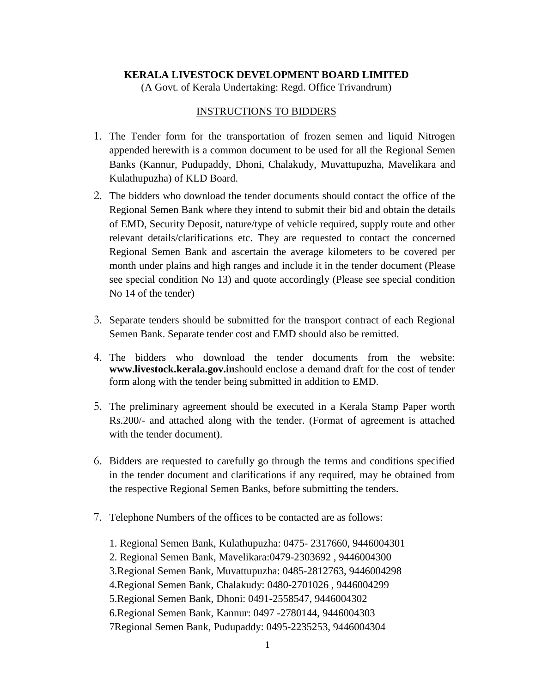# **KERALA LIVESTOCK DEVELOPMENT BOARD LIMITED**

(A Govt. of Kerala Undertaking: Regd. Office Trivandrum)

### INSTRUCTIONS TO BIDDERS

- 1. The Tender form for the transportation of frozen semen and liquid Nitrogen appended herewith is a common document to be used for all the Regional Semen Banks (Kannur, Pudupaddy, Dhoni, Chalakudy, Muvattupuzha, Mavelikara and Kulathupuzha) of KLD Board.
- 2. The bidders who download the tender documents should contact the office of the Regional Semen Bank where they intend to submit their bid and obtain the details of EMD, Security Deposit, nature/type of vehicle required, supply route and other relevant details/clarifications etc. They are requested to contact the concerned Regional Semen Bank and ascertain the average kilometers to be covered per month under plains and high ranges and include it in the tender document (Please see special condition No 13) and quote accordingly (Please see special condition No 14 of the tender)
- 3. Separate tenders should be submitted for the transport contract of each Regional Semen Bank. Separate tender cost and EMD should also be remitted.
- 4. The bidders who download the tender documents from the website: **[www.livestock.kerala.gov.in](http://www.livestock.kerala.gov.in/)**should enclose a demand draft for the cost of tender form along with the tender being submitted in addition to EMD.
- 5. The preliminary agreement should be executed in a Kerala Stamp Paper worth Rs.200/- and attached along with the tender. (Format of agreement is attached with the tender document).
- 6. Bidders are requested to carefully go through the terms and conditions specified in the tender document and clarifications if any required, may be obtained from the respective Regional Semen Banks, before submitting the tenders.
- 7. Telephone Numbers of the offices to be contacted are as follows:

1. Regional Semen Bank, Kulathupuzha: 0475- 2317660, 9446004301 2. Regional Semen Bank, Mavelikara:0479-2303692 , 9446004300 3.Regional Semen Bank, Muvattupuzha: 0485-2812763, 9446004298 4.Regional Semen Bank, Chalakudy: 0480-2701026 , 9446004299 5.Regional Semen Bank, Dhoni: 0491-2558547, 9446004302 6.Regional Semen Bank, Kannur: 0497 -2780144, 9446004303 7Regional Semen Bank, Pudupaddy: 0495-2235253, 9446004304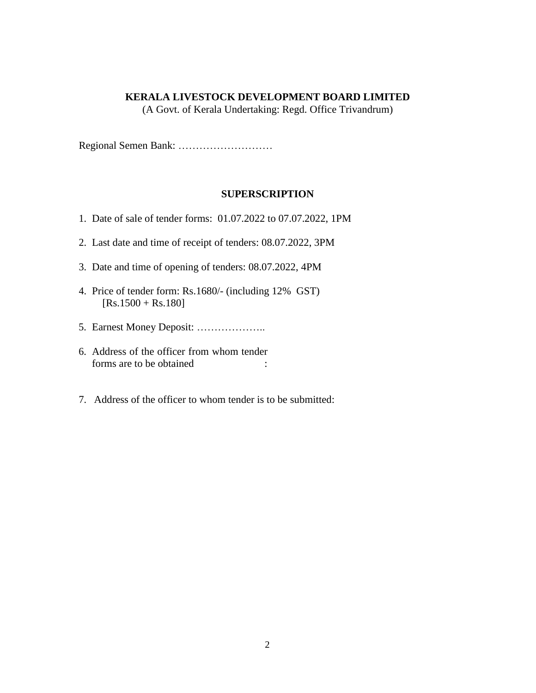#### **KERALA LIVESTOCK DEVELOPMENT BOARD LIMITED**

(A Govt. of Kerala Undertaking: Regd. Office Trivandrum)

Regional Semen Bank: ………………………

#### **SUPERSCRIPTION**

- 1. Date of sale of tender forms: 01.07.2022 to 07.07.2022, 1PM
- 2. Last date and time of receipt of tenders: 08.07.2022, 3PM
- 3. Date and time of opening of tenders: 08.07.2022, 4PM
- 4. Price of tender form: Rs.1680/- (including 12% GST)  $[Rs.1500 + Rs.180]$
- 5. Earnest Money Deposit: ………………..
- 6. Address of the officer from whom tender forms are to be obtained :
- 7. Address of the officer to whom tender is to be submitted: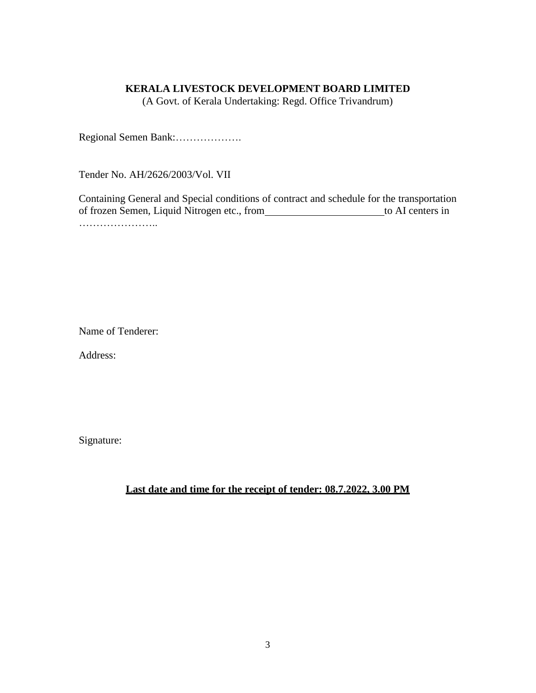#### **KERALA LIVESTOCK DEVELOPMENT BOARD LIMITED**

(A Govt. of Kerala Undertaking: Regd. Office Trivandrum)

Regional Semen Bank:……………….

Tender No. AH/2626/2003/Vol. VII

Containing General and Special conditions of contract and schedule for the transportation of frozen Semen, Liquid Nitrogen etc., from to AI centers in ……………………

Name of Tenderer:

Address:

Signature:

# **Last date and time for the receipt of tender: 08.7.2022, 3.00 PM**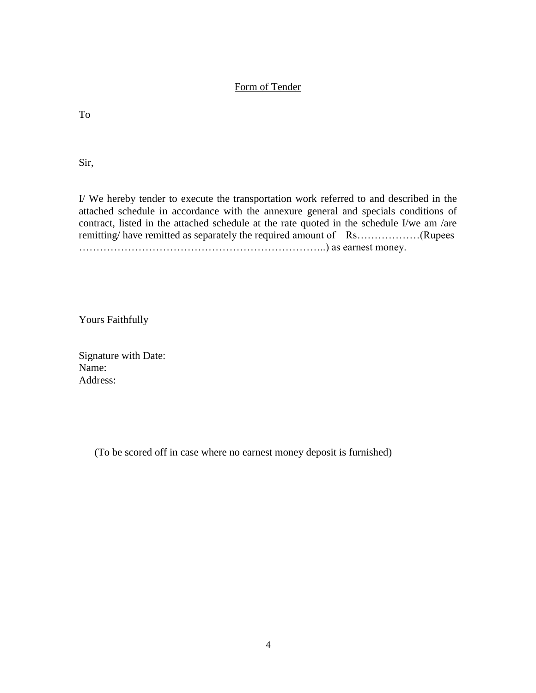### Form of Tender

To

Sir,

I/ We hereby tender to execute the transportation work referred to and described in the attached schedule in accordance with the annexure general and specials conditions of contract, listed in the attached schedule at the rate quoted in the schedule I/we am /are remitting/ have remitted as separately the required amount of Rs………………(Rupees ……………………………………………………………..) as earnest money.

Yours Faithfully

Signature with Date: Name: Address:

(To be scored off in case where no earnest money deposit is furnished)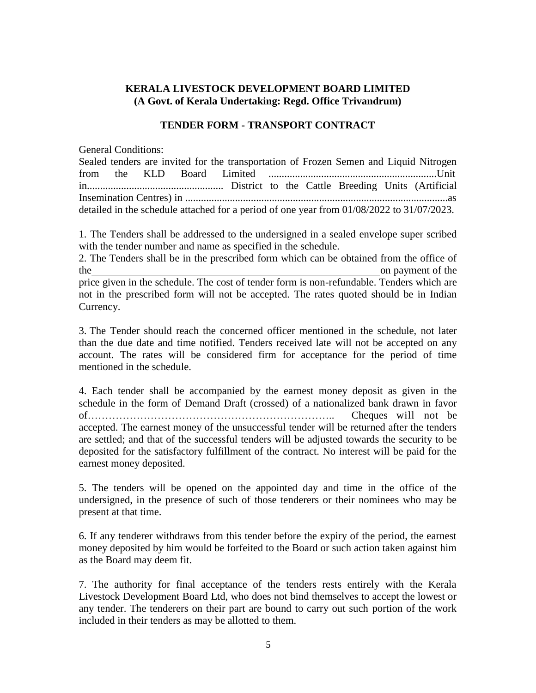# **KERALA LIVESTOCK DEVELOPMENT BOARD LIMITED (A Govt. of Kerala Undertaking: Regd. Office Trivandrum)**

## **TENDER FORM - TRANSPORT CONTRACT**

General Conditions:

|  |  | Sealed tenders are invited for the transportation of Frozen Semen and Liquid Nitrogen     |  |  |  |
|--|--|-------------------------------------------------------------------------------------------|--|--|--|
|  |  |                                                                                           |  |  |  |
|  |  |                                                                                           |  |  |  |
|  |  |                                                                                           |  |  |  |
|  |  | detailed in the schedule attached for a period of one year from 01/08/2022 to 31/07/2023. |  |  |  |

1. The Tenders shall be addressed to the undersigned in a sealed envelope super scribed with the tender number and name as specified in the schedule.

2. The Tenders shall be in the prescribed form which can be obtained from the office of the on payment of the one payment of the state on payment of the state on payment of the state on payment of the state on  $\mathbb{R}^n$ . price given in the schedule. The cost of tender form is non-refundable. Tenders which are not in the prescribed form will not be accepted. The rates quoted should be in Indian Currency.

3. The Tender should reach the concerned officer mentioned in the schedule, not later than the due date and time notified. Tenders received late will not be accepted on any account. The rates will be considered firm for acceptance for the period of time mentioned in the schedule.

4. Each tender shall be accompanied by the earnest money deposit as given in the schedule in the form of Demand Draft (crossed) of a nationalized bank drawn in favor of…………………………………………………………….. Cheques will not be accepted. The earnest money of the unsuccessful tender will be returned after the tenders are settled; and that of the successful tenders will be adjusted towards the security to be deposited for the satisfactory fulfillment of the contract. No interest will be paid for the earnest money deposited.

5. The tenders will be opened on the appointed day and time in the office of the undersigned, in the presence of such of those tenderers or their nominees who may be present at that time.

6. If any tenderer withdraws from this tender before the expiry of the period, the earnest money deposited by him would be forfeited to the Board or such action taken against him as the Board may deem fit.

7. The authority for final acceptance of the tenders rests entirely with the Kerala Livestock Development Board Ltd, who does not bind themselves to accept the lowest or any tender. The tenderers on their part are bound to carry out such portion of the work included in their tenders as may be allotted to them.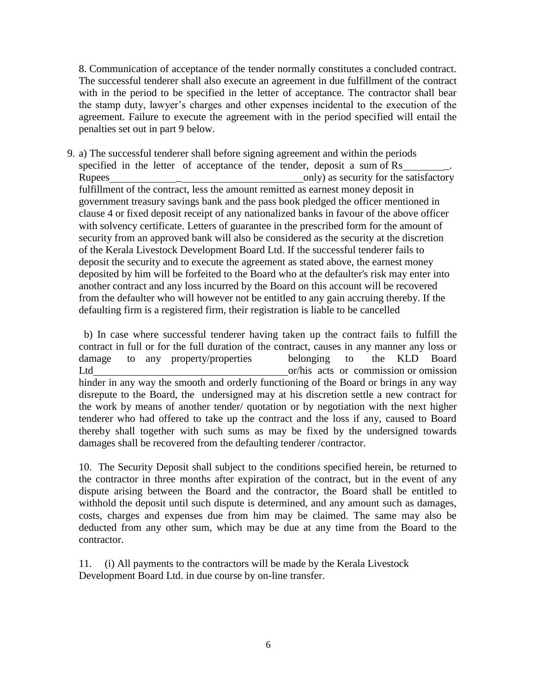8. Communication of acceptance of the tender normally constitutes a concluded contract. The successful tenderer shall also execute an agreement in due fulfillment of the contract with in the period to be specified in the letter of acceptance. The contractor shall bear the stamp duty, lawyer's charges and other expenses incidental to the execution of the agreement. Failure to execute the agreement with in the period specified will entail the penalties set out in part 9 below.

9. a) The successful tenderer shall before signing agreement and within the periods specified in the letter of acceptance of the tender, deposit a sum of Rs Rupees and  $\overline{\phantom{a}}$  only) as security for the satisfactory fulfillment of the contract, less the amount remitted as earnest money deposit in government treasury savings bank and the pass book pledged the officer mentioned in clause 4 or fixed deposit receipt of any nationalized banks in favour of the above officer with solvency certificate. Letters of guarantee in the prescribed form for the amount of security from an approved bank will also be considered as the security at the discretion of the Kerala Livestock Development Board Ltd. If the successful tenderer fails to deposit the security and to execute the agreement as stated above, the earnest money deposited by him will be forfeited to the Board who at the defaulter's risk may enter into another contract and any loss incurred by the Board on this account will be recovered from the defaulter who will however not be entitled to any gain accruing thereby. If the defaulting firm is a registered firm, their registration is liable to be cancelled

b) In case where successful tenderer having taken up the contract fails to fulfill the contract in full or for the full duration of the contract, causes in any manner any loss or damage to any property/properties belonging to the KLD Board Ltd or/his acts or commission or omission hinder in any way the smooth and orderly functioning of the Board or brings in any way disrepute to the Board, the undersigned may at his discretion settle a new contract for the work by means of another tender/ quotation or by negotiation with the next higher tenderer who had offered to take up the contract and the loss if any, caused to Board thereby shall together with such sums as may be fixed by the undersigned towards damages shall be recovered from the defaulting tenderer /contractor.

10. The Security Deposit shall subject to the conditions specified herein, be returned to the contractor in three months after expiration of the contract, but in the event of any dispute arising between the Board and the contractor, the Board shall be entitled to withhold the deposit until such dispute is determined, and any amount such as damages, costs, charges and expenses due from him may be claimed. The same may also be deducted from any other sum, which may be due at any time from the Board to the contractor.

11. (i) All payments to the contractors will be made by the Kerala Livestock Development Board Ltd. in due course by on-line transfer.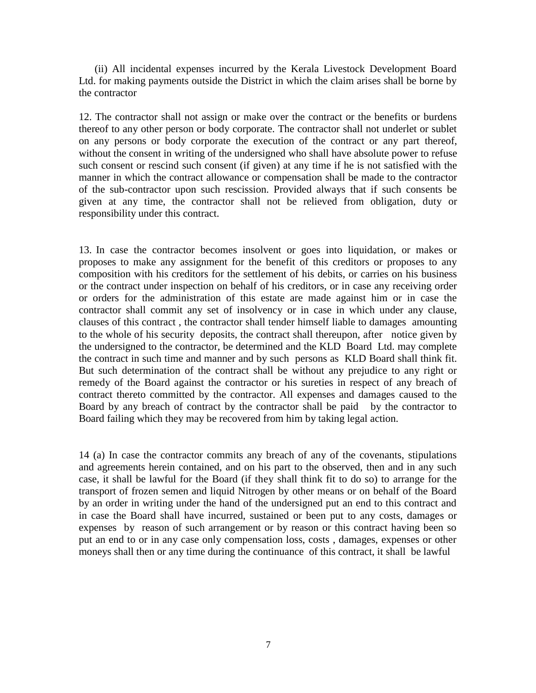(ii) All incidental expenses incurred by the Kerala Livestock Development Board Ltd. for making payments outside the District in which the claim arises shall be borne by the contractor

12. The contractor shall not assign or make over the contract or the benefits or burdens thereof to any other person or body corporate. The contractor shall not underlet or sublet on any persons or body corporate the execution of the contract or any part thereof, without the consent in writing of the undersigned who shall have absolute power to refuse such consent or rescind such consent (if given) at any time if he is not satisfied with the manner in which the contract allowance or compensation shall be made to the contractor of the sub-contractor upon such rescission. Provided always that if such consents be given at any time, the contractor shall not be relieved from obligation, duty or responsibility under this contract.

13. In case the contractor becomes insolvent or goes into liquidation, or makes or proposes to make any assignment for the benefit of this creditors or proposes to any composition with his creditors for the settlement of his debits, or carries on his business or the contract under inspection on behalf of his creditors, or in case any receiving order or orders for the administration of this estate are made against him or in case the contractor shall commit any set of insolvency or in case in which under any clause, clauses of this contract , the contractor shall tender himself liable to damages amounting to the whole of his security deposits, the contract shall thereupon, after notice given by the undersigned to the contractor, be determined and the KLD Board Ltd. may complete the contract in such time and manner and by such persons as KLD Board shall think fit. But such determination of the contract shall be without any prejudice to any right or remedy of the Board against the contractor or his sureties in respect of any breach of contract thereto committed by the contractor. All expenses and damages caused to the Board by any breach of contract by the contractor shall be paid by the contractor to Board failing which they may be recovered from him by taking legal action.

14 (a) In case the contractor commits any breach of any of the covenants, stipulations and agreements herein contained, and on his part to the observed, then and in any such case, it shall be lawful for the Board (if they shall think fit to do so) to arrange for the transport of frozen semen and liquid Nitrogen by other means or on behalf of the Board by an order in writing under the hand of the undersigned put an end to this contract and in case the Board shall have incurred, sustained or been put to any costs, damages or expenses by reason of such arrangement or by reason or this contract having been so put an end to or in any case only compensation loss, costs , damages, expenses or other moneys shall then or any time during the continuance of this contract, it shall be lawful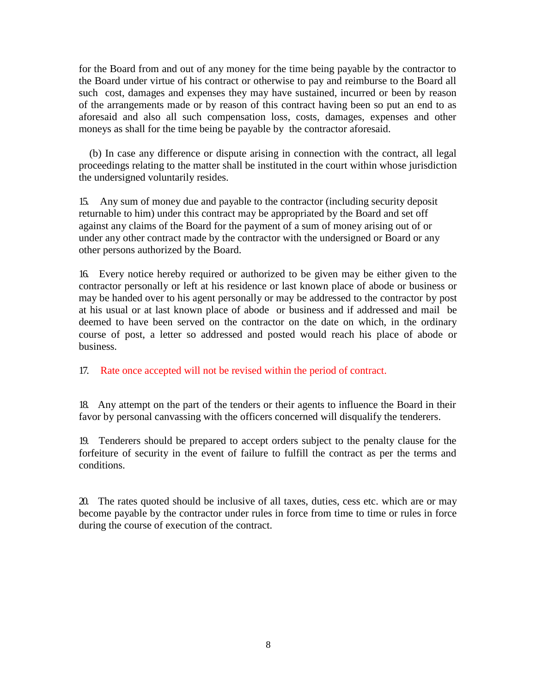for the Board from and out of any money for the time being payable by the contractor to the Board under virtue of his contract or otherwise to pay and reimburse to the Board all such cost, damages and expenses they may have sustained, incurred or been by reason of the arrangements made or by reason of this contract having been so put an end to as aforesaid and also all such compensation loss, costs, damages, expenses and other moneys as shall for the time being be payable by the contractor aforesaid.

(b) In case any difference or dispute arising in connection with the contract, all legal proceedings relating to the matter shall be instituted in the court within whose jurisdiction the undersigned voluntarily resides.

15. Any sum of money due and payable to the contractor (including security deposit returnable to him) under this contract may be appropriated by the Board and set off against any claims of the Board for the payment of a sum of money arising out of or under any other contract made by the contractor with the undersigned or Board or any other persons authorized by the Board.

16. Every notice hereby required or authorized to be given may be either given to the contractor personally or left at his residence or last known place of abode or business or may be handed over to his agent personally or may be addressed to the contractor by post at his usual or at last known place of abode or business and if addressed and mail be deemed to have been served on the contractor on the date on which, in the ordinary course of post, a letter so addressed and posted would reach his place of abode or business.

17. Rate once accepted will not be revised within the period of contract.

18. Any attempt on the part of the tenders or their agents to influence the Board in their favor by personal canvassing with the officers concerned will disqualify the tenderers.

19. Tenderers should be prepared to accept orders subject to the penalty clause for the forfeiture of security in the event of failure to fulfill the contract as per the terms and conditions.

20. The rates quoted should be inclusive of all taxes, duties, cess etc. which are or may become payable by the contractor under rules in force from time to time or rules in force during the course of execution of the contract.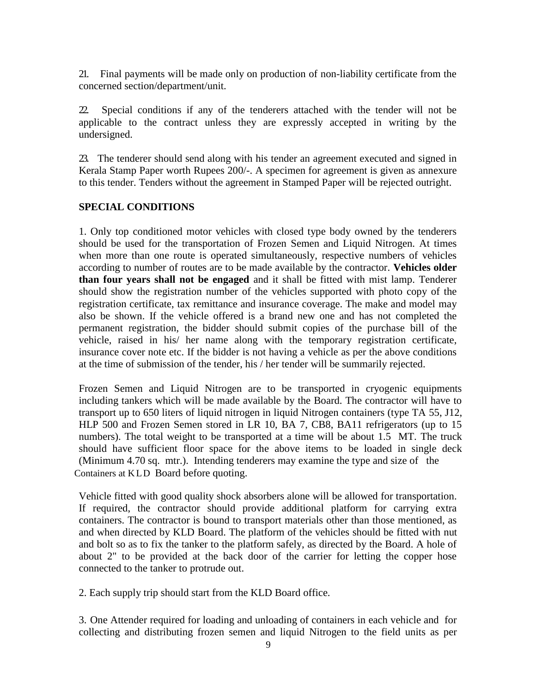21. Final payments will be made only on production of non-liability certificate from the concerned section/department/unit.

22. Special conditions if any of the tenderers attached with the tender will not be applicable to the contract unless they are expressly accepted in writing by the undersigned.

23. The tenderer should send along with his tender an agreement executed and signed in Kerala Stamp Paper worth Rupees 200/-. A specimen for agreement is given as annexure to this tender. Tenders without the agreement in Stamped Paper will be rejected outright.

## **SPECIAL CONDITIONS**

1. Only top conditioned motor vehicles with closed type body owned by the tenderers should be used for the transportation of Frozen Semen and Liquid Nitrogen. At times when more than one route is operated simultaneously, respective numbers of vehicles according to number of routes are to be made available by the contractor. **Vehicles older than four years shall not be engaged** and it shall be fitted with mist lamp. Tenderer should show the registration number of the vehicles supported with photo copy of the registration certificate, tax remittance and insurance coverage. The make and model may also be shown. If the vehicle offered is a brand new one and has not completed the permanent registration, the bidder should submit copies of the purchase bill of the vehicle, raised in his/ her name along with the temporary registration certificate, insurance cover note etc. If the bidder is not having a vehicle as per the above conditions at the time of submission of the tender, his / her tender will be summarily rejected.

Frozen Semen and Liquid Nitrogen are to be transported in cryogenic equipments including tankers which will be made available by the Board. The contractor will have to transport up to 650 liters of liquid nitrogen in liquid Nitrogen containers (type TA 55, J12, HLP 500 and Frozen Semen stored in LR 10, BA 7, CB8, BA11 refrigerators (up to 15 numbers). The total weight to be transported at a time will be about 1.5 MT. The truck should have sufficient floor space for the above items to be loaded in single deck (Minimum 4.70 sq. mtr.). Intending tenderers may examine the type and size of the Containers at KLD Board before quoting.

Vehicle fitted with good quality shock absorbers alone will be allowed for transportation. If required, the contractor should provide additional platform for carrying extra containers. The contractor is bound to transport materials other than those mentioned, as and when directed by KLD Board. The platform of the vehicles should be fitted with nut and bolt so as to fix the tanker to the platform safely, as directed by the Board. A hole of about 2" to be provided at the back door of the carrier for letting the copper hose connected to the tanker to protrude out.

2. Each supply trip should start from the KLD Board office.

3. One Attender required for loading and unloading of containers in each vehicle and for collecting and distributing frozen semen and liquid Nitrogen to the field units as per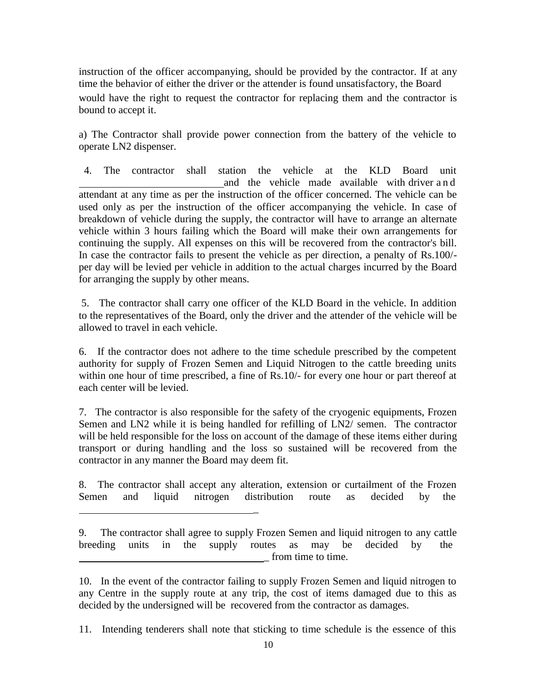instruction of the officer accompanying, should be provided by the contractor. If at any time the behavior of either the driver or the attender is found unsatisfactory, the Board would have the right to request the contractor for replacing them and the contractor is bound to accept it.

a) The Contractor shall provide power connection from the battery of the vehicle to operate LN2 dispenser.

4. The contractor shall station the vehicle at the KLD Board unit and the vehicle made available with driver a n d attendant at any time as per the instruction of the officer concerned. The vehicle can be used only as per the instruction of the officer accompanying the vehicle. In case of breakdown of vehicle during the supply, the contractor will have to arrange an alternate vehicle within 3 hours failing which the Board will make their own arrangements for continuing the supply. All expenses on this will be recovered from the contractor's bill. In case the contractor fails to present the vehicle as per direction, a penalty of Rs.100/ per day will be levied per vehicle in addition to the actual charges incurred by the Board for arranging the supply by other means.

5. The contractor shall carry one officer of the KLD Board in the vehicle. In addition to the representatives of the Board, only the driver and the attender of the vehicle will be allowed to travel in each vehicle.

6. If the contractor does not adhere to the time schedule prescribed by the competent authority for supply of Frozen Semen and Liquid Nitrogen to the cattle breeding units within one hour of time prescribed, a fine of Rs.10/- for every one hour or part thereof at each center will be levied.

7. The contractor is also responsible for the safety of the cryogenic equipments, Frozen Semen and LN2 while it is being handled for refilling of LN2/ semen. The contractor will be held responsible for the loss on account of the damage of these items either during transport or during handling and the loss so sustained will be recovered from the contractor in any manner the Board may deem fit.

8. The contractor shall accept any alteration, extension or curtailment of the Frozen Semen and liquid nitrogen distribution route as decided by the

\_

10. In the event of the contractor failing to supply Frozen Semen and liquid nitrogen to any Centre in the supply route at any trip, the cost of items damaged due to this as decided by the undersigned will be recovered from the contractor as damages.

11. Intending tenderers shall note that sticking to time schedule is the essence of this

<sup>9.</sup> The contractor shall agree to supply Frozen Semen and liquid nitrogen to any cattle breeding units in the supply routes as may be decided by the \_ from time to time.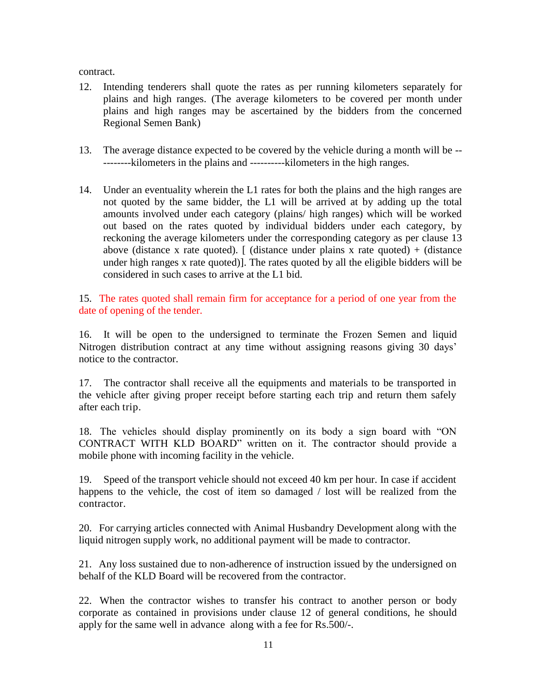contract.

- 12. Intending tenderers shall quote the rates as per running kilometers separately for plains and high ranges. (The average kilometers to be covered per month under plains and high ranges may be ascertained by the bidders from the concerned Regional Semen Bank)
- 13. The average distance expected to be covered by the vehicle during a month will be -- --------kilometers in the plains and ----------kilometers in the high ranges.
- 14. Under an eventuality wherein the L1 rates for both the plains and the high ranges are not quoted by the same bidder, the L1 will be arrived at by adding up the total amounts involved under each category (plains/ high ranges) which will be worked out based on the rates quoted by individual bidders under each category, by reckoning the average kilometers under the corresponding category as per clause 13 above (distance x rate quoted). [ (distance under plains x rate quoted) + (distance under high ranges x rate quoted)]. The rates quoted by all the eligible bidders will be considered in such cases to arrive at the L1 bid.

15. The rates quoted shall remain firm for acceptance for a period of one year from the date of opening of the tender.

16. It will be open to the undersigned to terminate the Frozen Semen and liquid Nitrogen distribution contract at any time without assigning reasons giving 30 days' notice to the contractor.

17. The contractor shall receive all the equipments and materials to be transported in the vehicle after giving proper receipt before starting each trip and return them safely after each trip.

18. The vehicles should display prominently on its body a sign board with "ON CONTRACT WITH KLD BOARD" written on it. The contractor should provide a mobile phone with incoming facility in the vehicle.

19. Speed of the transport vehicle should not exceed 40 km per hour. In case if accident happens to the vehicle, the cost of item so damaged / lost will be realized from the contractor.

20. For carrying articles connected with Animal Husbandry Development along with the liquid nitrogen supply work, no additional payment will be made to contractor.

21. Any loss sustained due to non-adherence of instruction issued by the undersigned on behalf of the KLD Board will be recovered from the contractor.

22. When the contractor wishes to transfer his contract to another person or body corporate as contained in provisions under clause 12 of general conditions, he should apply for the same well in advance along with a fee for Rs.500/-.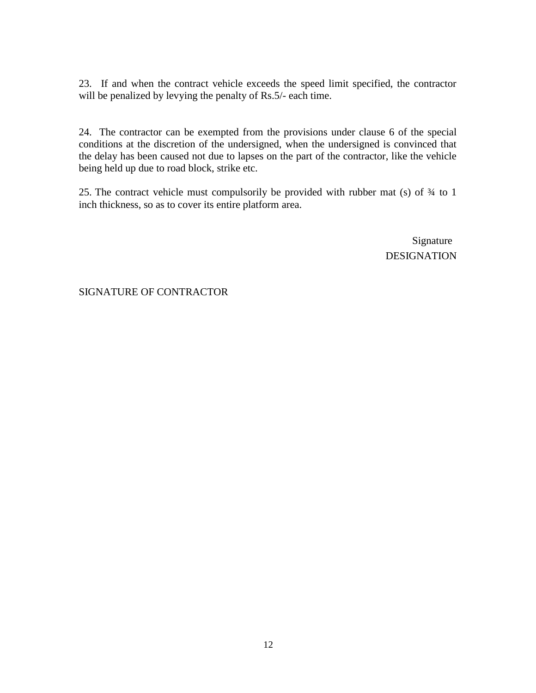23. If and when the contract vehicle exceeds the speed limit specified, the contractor will be penalized by levying the penalty of Rs.5/- each time.

24. The contractor can be exempted from the provisions under clause 6 of the special conditions at the discretion of the undersigned, when the undersigned is convinced that the delay has been caused not due to lapses on the part of the contractor, like the vehicle being held up due to road block, strike etc.

25. The contract vehicle must compulsorily be provided with rubber mat (s) of ¾ to 1 inch thickness, so as to cover its entire platform area.

> Signature DESIGNATION

## SIGNATURE OF CONTRACTOR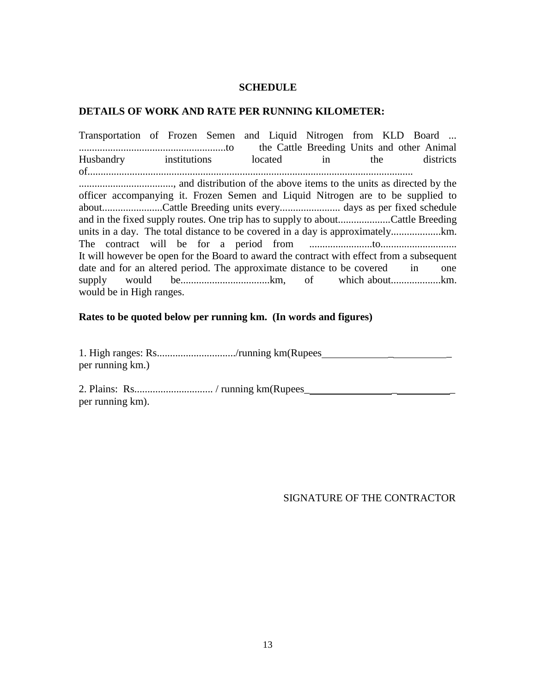#### **SCHEDULE**

#### **DETAILS OF WORK AND RATE PER RUNNING KILOMETER:**

Transportation of Frozen Semen and Liquid Nitrogen from KLD Board ... ........................................................to the Cattle Breeding Units and other Animal Husbandry institutions located in the districts of............................................................................................................................ ...................................., and distribution of the above items to the units as directed by the officer accompanying it. Frozen Semen and Liquid Nitrogen are to be supplied to about.......................Cattle Breeding units every....................... days as per fixed schedule and in the fixed supply routes. One trip has to supply to about....................Cattle Breeding units in a day. The total distance to be covered in a day is approximately...................km. The contract will be for a period from ........................to............................. It will however be open for the Board to award the contract with effect from a subsequent date and for an altered period. The approximate distance to be covered in one supply would be..................................km, of which about...................km. would be in High ranges.

#### **Rates to be quoted below per running km. (In words and figures)**

1. High ranges: Rs............................../running km(Rupees \_ \_ per running km.)

2. Plains: Rs.............................. / running km(Rupees\_ \_ \_ per running km).

SIGNATURE OF THE CONTRACTOR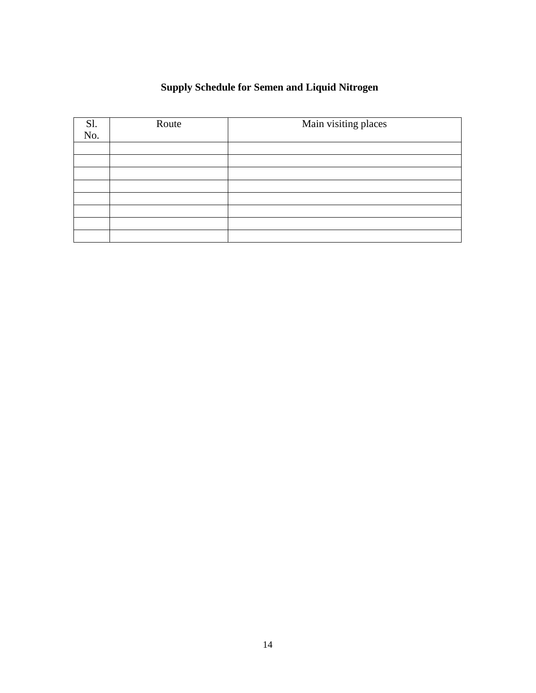# **Supply Schedule for Semen and Liquid Nitrogen**

| Sl.<br>No. | Route | Main visiting places |
|------------|-------|----------------------|
|            |       |                      |
|            |       |                      |
|            |       |                      |
|            |       |                      |
|            |       |                      |
|            |       |                      |
|            |       |                      |
|            |       |                      |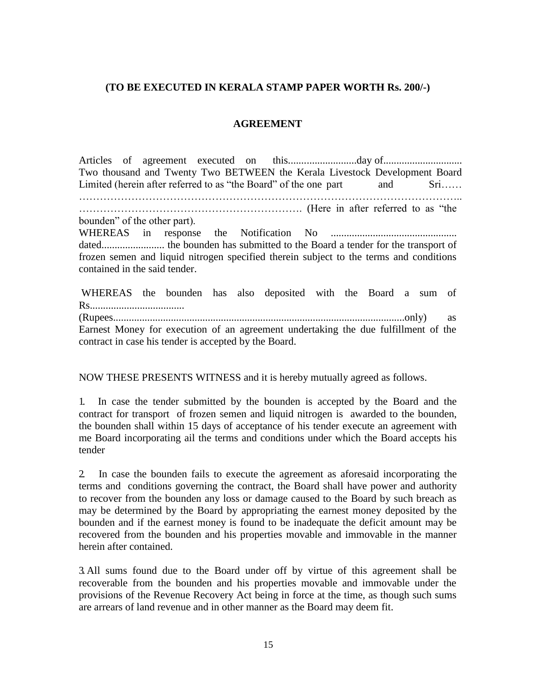### **(TO BE EXECUTED IN KERALA STAMP PAPER WORTH Rs. 200/-)**

#### **AGREEMENT**

Articles of agreement executed on this..........................day of.............................. Two thousand and Twenty Two BETWEEN the Kerala Livestock Development Board Limited (herein after referred to as "the Board" of the one part and Sri…… ……………………………………………………………………………………………….. ………………………………………………………. (Here in after referred to as "the bounden" of the other part). WHEREAS in response the Notification No ................................................ dated........................ the bounden has submitted to the Board a tender for the transport of frozen semen and liquid nitrogen specified therein subject to the terms and conditions contained in the said tender.

WHEREAS the bounden has also deposited with the Board a sum of Rs.................................... (Rupees...............................................................................................................only) as Earnest Money for execution of an agreement undertaking the due fulfillment of the contract in case his tender is accepted by the Board.

NOW THESE PRESENTS WITNESS and it is hereby mutually agreed as follows.

1. In case the tender submitted by the bounden is accepted by the Board and the contract for transport of frozen semen and liquid nitrogen is awarded to the bounden, the bounden shall within 15 days of acceptance of his tender execute an agreement with me Board incorporating ail the terms and conditions under which the Board accepts his tender

2. In case the bounden fails to execute the agreement as aforesaid incorporating the terms and conditions governing the contract, the Board shall have power and authority to recover from the bounden any loss or damage caused to the Board by such breach as may be determined by the Board by appropriating the earnest money deposited by the bounden and if the earnest money is found to be inadequate the deficit amount may be recovered from the bounden and his properties movable and immovable in the manner herein after contained.

3. All sums found due to the Board under off by virtue of this agreement shall be recoverable from the bounden and his properties movable and immovable under the provisions of the Revenue Recovery Act being in force at the time, as though such sums are arrears of land revenue and in other manner as the Board may deem fit.